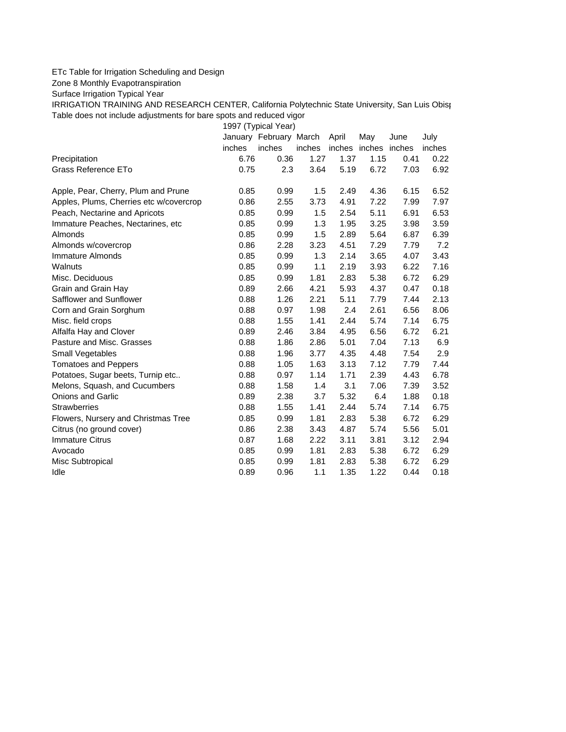## ETc Table for Irrigation Scheduling and Design

Zone 8 Monthly Evapotranspiration

Surface Irrigation Typical Year

IRRIGATION TRAINING AND RESEARCH CENTER, California Polytechnic State University, San Luis Obisp Table does not include adjustments for bare spots and reduced vigor

1997 (Typical Year)

|                                         |        | January February March |        | April | May                  | June | July   |
|-----------------------------------------|--------|------------------------|--------|-------|----------------------|------|--------|
|                                         | inches | inches                 | inches |       | inches inches inches |      | inches |
| Precipitation                           | 6.76   | 0.36                   | 1.27   | 1.37  | 1.15                 | 0.41 | 0.22   |
| Grass Reference ETo                     | 0.75   | 2.3                    | 3.64   | 5.19  | 6.72                 | 7.03 | 6.92   |
| Apple, Pear, Cherry, Plum and Prune     | 0.85   | 0.99                   | 1.5    | 2.49  | 4.36                 | 6.15 | 6.52   |
| Apples, Plums, Cherries etc w/covercrop | 0.86   | 2.55                   | 3.73   | 4.91  | 7.22                 | 7.99 | 7.97   |
| Peach, Nectarine and Apricots           | 0.85   | 0.99                   | 1.5    | 2.54  | 5.11                 | 6.91 | 6.53   |
| Immature Peaches, Nectarines, etc       | 0.85   | 0.99                   | 1.3    | 1.95  | 3.25                 | 3.98 | 3.59   |
| Almonds                                 | 0.85   | 0.99                   | 1.5    | 2.89  | 5.64                 | 6.87 | 6.39   |
| Almonds w/covercrop                     | 0.86   | 2.28                   | 3.23   | 4.51  | 7.29                 | 7.79 | 7.2    |
| <b>Immature Almonds</b>                 | 0.85   | 0.99                   | 1.3    | 2.14  | 3.65                 | 4.07 | 3.43   |
| Walnuts                                 | 0.85   | 0.99                   | 1.1    | 2.19  | 3.93                 | 6.22 | 7.16   |
| Misc. Deciduous                         | 0.85   | 0.99                   | 1.81   | 2.83  | 5.38                 | 6.72 | 6.29   |
| Grain and Grain Hay                     | 0.89   | 2.66                   | 4.21   | 5.93  | 4.37                 | 0.47 | 0.18   |
| Safflower and Sunflower                 | 0.88   | 1.26                   | 2.21   | 5.11  | 7.79                 | 7.44 | 2.13   |
| Corn and Grain Sorghum                  | 0.88   | 0.97                   | 1.98   | 2.4   | 2.61                 | 6.56 | 8.06   |
| Misc. field crops                       | 0.88   | 1.55                   | 1.41   | 2.44  | 5.74                 | 7.14 | 6.75   |
| Alfalfa Hay and Clover                  | 0.89   | 2.46                   | 3.84   | 4.95  | 6.56                 | 6.72 | 6.21   |
| Pasture and Misc. Grasses               | 0.88   | 1.86                   | 2.86   | 5.01  | 7.04                 | 7.13 | 6.9    |
| Small Vegetables                        | 0.88   | 1.96                   | 3.77   | 4.35  | 4.48                 | 7.54 | 2.9    |
| <b>Tomatoes and Peppers</b>             | 0.88   | 1.05                   | 1.63   | 3.13  | 7.12                 | 7.79 | 7.44   |
| Potatoes, Sugar beets, Turnip etc       | 0.88   | 0.97                   | 1.14   | 1.71  | 2.39                 | 4.43 | 6.78   |
| Melons, Squash, and Cucumbers           | 0.88   | 1.58                   | 1.4    | 3.1   | 7.06                 | 7.39 | 3.52   |
| <b>Onions and Garlic</b>                | 0.89   | 2.38                   | 3.7    | 5.32  | 6.4                  | 1.88 | 0.18   |
| <b>Strawberries</b>                     | 0.88   | 1.55                   | 1.41   | 2.44  | 5.74                 | 7.14 | 6.75   |
| Flowers, Nursery and Christmas Tree     | 0.85   | 0.99                   | 1.81   | 2.83  | 5.38                 | 6.72 | 6.29   |
| Citrus (no ground cover)                | 0.86   | 2.38                   | 3.43   | 4.87  | 5.74                 | 5.56 | 5.01   |
| <b>Immature Citrus</b>                  | 0.87   | 1.68                   | 2.22   | 3.11  | 3.81                 | 3.12 | 2.94   |
| Avocado                                 | 0.85   | 0.99                   | 1.81   | 2.83  | 5.38                 | 6.72 | 6.29   |
| Misc Subtropical                        | 0.85   | 0.99                   | 1.81   | 2.83  | 5.38                 | 6.72 | 6.29   |
| Idle                                    | 0.89   | 0.96                   | 1.1    | 1.35  | 1.22                 | 0.44 | 0.18   |